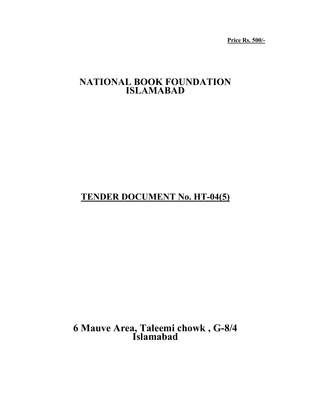**Price Rs. 500/-** 

# **NATIONAL BOOK FOUNDATION ISLAMABAD**

# **TENDER DOCUMENT No. HT-04(5)**

 **6 Mauve Area, Taleemi chowk , G-8/4 Islamabad**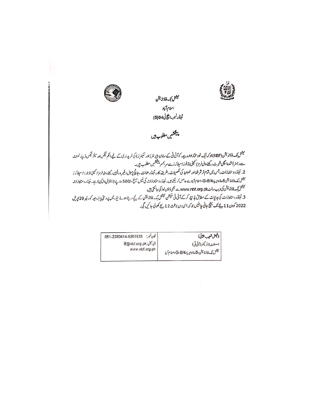

میشل تپک فاؤنڈیشن اسلام1 پاد ئىن*ڈرنبر-انگانى 1*04(5)

پیشکشیں مطلوب ہیں

نیشل بنگ فاؤنڈیشن (NBF)جوکہ ایک خود مختارادادہ ہے، کوآئی ٹی کے سامان (پر نشر زاور سکینر ز) کی خریداری کے لیے اعم ٹیکس ادر سلز ٹیکس ڈیپارٹمنٹ ے رجنٹ دائی شرت رکھنے والی فرمز اسپنی اڈیلرز اسپلائر زے پر بمبر ہیکشیں مطلوب ہیں۔ 2. نینڈروستاویزات ،جس میں قیام تر شرادکا اور ضوابط کی تفصیلات،طریقہ کار، نینڈر صانت ،جانچ پڑتال دغیرہ دلچپی رہنے والی فرمز/ کمپی/ذیلر زا سپلائر ز میٹل یک فاؤنڈیشن 6۔اڈوایر یا،G-8/4 اسلام آبادے حاصل کر سکتے ہیں۔ ٹینڈر و ستاویزات کی فیس مبلغ-/500 روپے (نا قابل دائپزی) ہے۔ ٹینڈر دستاویزات میشل بگ فاڈنڈیشن کی ویب سائٹ www.nbf.org.pk سے بھی ڈاڈن لوڈ کی جاسکتی ہیں 3. شینڈر دستاونرات کی ہدایات کے مطابق بڑ تیار کرکے آئی ٹی ٹیکشن میٹل کے فائٹہ یشن کے نیچے دیے ہوئے ایڈرایس پر دستکے دیئر 29 پریل 2022 کودن 11بے تک پنج جانی چاہئیں جو کہ ای دن بوتت 12بے کھولی جائیں گی۔

| (فِعَلْ شَعِيبِ حِينَ)                                       | فون نمبر:<br>051-2280414-9261533 |
|--------------------------------------------------------------|----------------------------------|
| اسىشنە ۋائرىكىر (آئى ئى)                                     | ای کیل:it@nbf.org.pk             |
| <sub>ا</sub> میشل نیک فاؤنڈیشن،6-ماؤوایر یا،8/4-G،اسلام آباد | www.nbf.org.pk                   |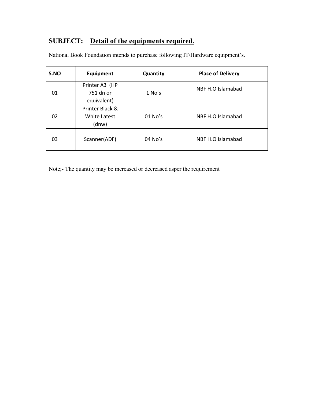# **SUBJECT: Detail of the equipments required.**

| S.NO | Equipment                                  | Quantity | <b>Place of Delivery</b> |  |
|------|--------------------------------------------|----------|--------------------------|--|
| 01   | Printer A3 (HP<br>751 dn or<br>equivalent) | $1$ No's | NBF H.O Islamabad        |  |
| 02   | Printer Black &<br>White Latest<br>(dnw)   | 01 No's  | NBF H.O Islamabad        |  |
| 03   | Scanner(ADF)                               | 04 No's  | NBF H.O Islamabad        |  |

National Book Foundation intends to purchase following IT/Hardware equipment's.

Note;- The quantity may be increased or decreased asper the requirement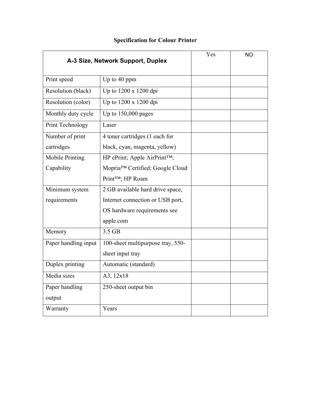| A-3 Size, Network Support, Duplex |                                           | Yes | <b>NO</b> |
|-----------------------------------|-------------------------------------------|-----|-----------|
| Print speed                       | Up to 40 ppm                              |     |           |
| Resolution (black)                | Up to 1200 x 1200 dpi                     |     |           |
| Resolution (color)                | Up to 1200 x 1200 dpi                     |     |           |
| Monthly duty cycle                | Up to $150,000$ pages                     |     |           |
| Print Technology                  | Laser                                     |     |           |
| Number of print                   | 4 toner cartridges (1 each for            |     |           |
| cartridges                        | black, cyan, magenta, yellow)             |     |           |
| Mobile Printing                   | HP ePrint; Apple AirPrint <sup>TM</sup> ; |     |           |
| Capability                        | Mopria™ Certified; Google Cloud           |     |           |
|                                   | Print™; HP Roam                           |     |           |
| Minimum system                    | 2 GB available hard drive space,          |     |           |
| requirements                      | Internet connection or USB port,          |     |           |
|                                   | OS hardware requirements see              |     |           |
|                                   | apple.com                                 |     |           |
| Memory                            | 3.5 GB                                    |     |           |
| Paper handling input              | 100-sheet multipurpose tray, 550-         |     |           |
|                                   | sheet input tray                          |     |           |
| Duplex printing                   | Automatic (standard)                      |     |           |
| Media sizes                       | A3, 12x18                                 |     |           |
| Paper handling                    | 250-sheet output bin                      |     |           |
| output                            |                                           |     |           |
| Warranty                          | Years                                     |     |           |

# **Specification for Colour Printer**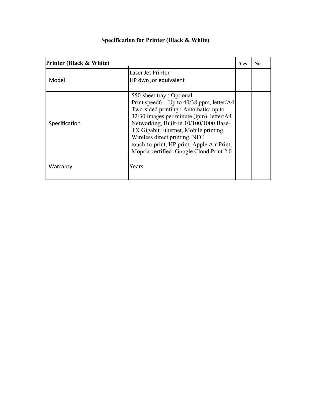| <b>Printer (Black &amp; White)</b> |                                                                                                                                                                                                                                                                                                                                                                           | <b>Yes</b> | $\bf No$ |
|------------------------------------|---------------------------------------------------------------------------------------------------------------------------------------------------------------------------------------------------------------------------------------------------------------------------------------------------------------------------------------------------------------------------|------------|----------|
| Model                              | Laser Jet Printer<br>HP dwn ,or equivalent                                                                                                                                                                                                                                                                                                                                |            |          |
| Specification                      | 550-sheet tray: Optional<br>Print speed6: Up to 40/38 ppm, letter/A4<br>Two-sided printing : Automatic: up to<br>$32/30$ images per minute (ipm), letter/A4<br>Networking, Built-in 10/100/1000 Base-<br>TX Gigabit Ethernet, Mobile printing,<br>Wireless direct printing, NFC<br>touch-to-print, HP print, Apple Air Print,<br>Mopria-certified, Google Cloud Print 2.0 |            |          |
| Warranty                           | Years                                                                                                                                                                                                                                                                                                                                                                     |            |          |

# **Specification for Printer (Black & White)**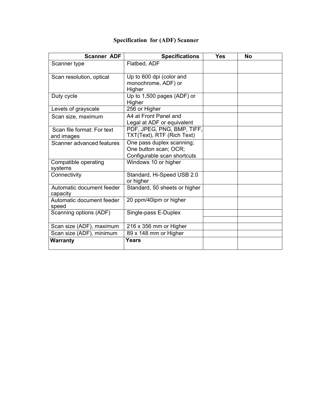| <b>Scanner ADF</b>                       | <b>Specifications</b>                                                             | <b>Yes</b> | <b>No</b> |
|------------------------------------------|-----------------------------------------------------------------------------------|------------|-----------|
| Scanner type                             | Flatbed, ADF                                                                      |            |           |
| Scan resolution, optical                 | Up to 600 dpi (color and<br>monochrome, ADF) or<br>Higher                         |            |           |
| Duty cycle                               | Up to 1,500 pages (ADF) or<br>Higher                                              |            |           |
| Levels of grayscale                      | 256 or Higher                                                                     |            |           |
| Scan size, maximum                       | A4 at Front Panel and<br>Legal at ADF or equivalent                               |            |           |
| Scan file format: For text<br>and images | PDF, JPEG, PNG, BMP, TIFF,<br>TXT(Text), RTF (Rich Text)                          |            |           |
| Scanner advanced features                | One pass duplex scanning;<br>One button scan; OCR;<br>Configurable scan shortcuts |            |           |
| Compatible operating<br>systems          | Windows 10 or higher                                                              |            |           |
| Connectivity                             | Standard, Hi-Speed USB 2.0<br>or higher                                           |            |           |
| Automatic document feeder<br>capacity    | Standard, 50 sheets or higher                                                     |            |           |
| Automatic document feeder<br>speed       | 20 ppm/40ipm or higher                                                            |            |           |
| Scanning options (ADF)                   | Single-pass E-Duplex                                                              |            |           |
| Scan size (ADF), maximum                 | 216 x 356 mm or Higher                                                            |            |           |
| Scan size (ADF), minimum                 | 89 x 148 mm or Higher                                                             |            |           |
| <b>Warranty</b>                          | Years                                                                             |            |           |

## **Specification for (ADF) Scanner**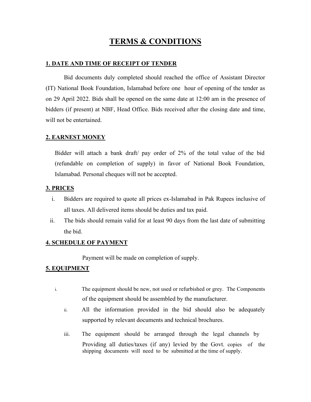## **TERMS & CONDITIONS**

#### **1. DATE AND TIME OF RECEIPT OF TENDER**

Bid documents duly completed should reached the office of Assistant Director (IT) National Book Foundation, Islamabad before one hour of opening of the tender as on 29 April 2022. Bids shall be opened on the same date at 12:00 am in the presence of bidders (if present) at NBF, Head Office. Bids received after the closing date and time, will not be entertained.

#### **2. EARNEST MONEY**

Bidder will attach a bank draft/ pay order of 2% of the total value of the bid (refundable on completion of supply) in favor of National Book Foundation, Islamabad. Personal cheques will not be accepted.

#### **3. PRICES**

- i. Bidders are required to quote all prices ex-Islamabad in Pak Rupees inclusive of all taxes. All delivered items should be duties and tax paid.
- ii. The bids should remain valid for at least 90 days from the last date of submitting the bid.

### **4. SCHEDULE OF PAYMENT**

Payment will be made on completion of supply.

### **5. EQUIPMENT**

- i. The equipment should be new, not used or refurbished or grey. The Components of the equipment should be assembled by the manufacturer.
	- ii. All the information provided in the bid should also be adequately supported by relevant documents and technical brochures.
	- iii. The equipment should be arranged through the legal channels by Providing all duties/taxes (if any) levied by the Govt. copies of the shipping documents will need to be submitted at the time of supply.